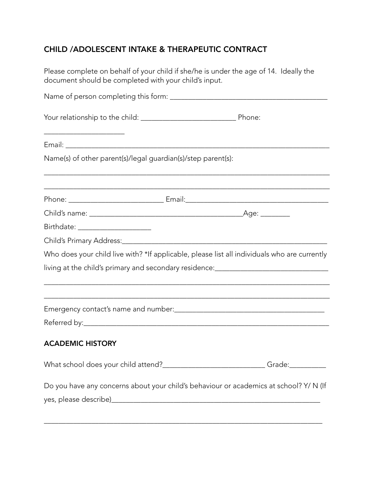# CHILD /ADOLESCENT INTAKE & THERAPEUTIC CONTRACT

Please complete on behalf of your child if she/he is under the age of 14. Ideally the document should be completed with your child's input.

| <u> 2002 - Johann Stoff, deutscher Stoffen und der Stoffen und der Stoffen und der Stoffen und der Stoffen und der</u> |                                                                                              |
|------------------------------------------------------------------------------------------------------------------------|----------------------------------------------------------------------------------------------|
| Name(s) of other parent(s)/legal guardian(s)/step parent(s):                                                           |                                                                                              |
|                                                                                                                        |                                                                                              |
|                                                                                                                        |                                                                                              |
| Birthdate: _____________________                                                                                       |                                                                                              |
|                                                                                                                        |                                                                                              |
|                                                                                                                        | Who does your child live with? *If applicable, please list all individuals who are currently |
|                                                                                                                        | living at the child's primary and secondary residence:__________________________             |
|                                                                                                                        |                                                                                              |
|                                                                                                                        |                                                                                              |
|                                                                                                                        |                                                                                              |
| <b>ACADEMIC HISTORY</b>                                                                                                |                                                                                              |
|                                                                                                                        | What school does your child attend?____________________________Grade:___________             |
|                                                                                                                        | Do you have any concerns about your child's behaviour or academics at school? Y/ N (If       |
|                                                                                                                        |                                                                                              |
|                                                                                                                        |                                                                                              |

\_\_\_\_\_\_\_\_\_\_\_\_\_\_\_\_\_\_\_\_\_\_\_\_\_\_\_\_\_\_\_\_\_\_\_\_\_\_\_\_\_\_\_\_\_\_\_\_\_\_\_\_\_\_\_\_\_\_\_\_\_\_\_\_\_\_\_\_\_\_\_\_\_\_\_\_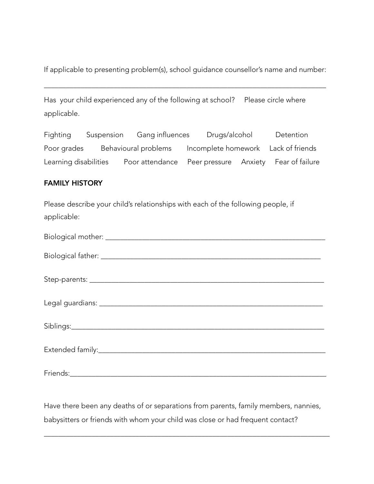If applicable to presenting problem(s), school guidance counsellor's name and number:

\_\_\_\_\_\_\_\_\_\_\_\_\_\_\_\_\_\_\_\_\_\_\_\_\_\_\_\_\_\_\_\_\_\_\_\_\_\_\_\_\_\_\_\_\_\_\_\_\_\_\_\_\_\_\_\_\_\_\_\_\_\_\_\_\_\_\_\_\_\_\_\_\_\_\_\_\_

| Has your child experienced any of the following at school? Please circle where |  |
|--------------------------------------------------------------------------------|--|
| applicable.                                                                    |  |

| Fighting              | Suspension | Gang influences      | Drugs/alcohol | Detention                             |
|-----------------------|------------|----------------------|---------------|---------------------------------------|
| Poor grades           |            | Behavioural problems |               | Incomplete homework Lack of friends   |
| Learning disabilities |            | Poor attendance      |               | Peer pressure Anxiety Fear of failure |

### FAMILY HISTORY

Please describe your child's relationships with each of the following people, if applicable:

| Biological mother: |  |
|--------------------|--|
|                    |  |

| <b>Bioloc</b><br>- - - -<br>,,,,<br>$\sim$ |  |
|--------------------------------------------|--|
|                                            |  |

Step-parents: \_\_\_\_\_\_\_\_\_\_\_\_\_\_\_\_\_\_\_\_\_\_\_\_\_\_\_\_\_\_\_\_\_\_\_\_\_\_\_\_\_\_\_\_\_\_\_\_\_\_\_\_\_\_\_\_\_\_\_\_\_\_\_\_

| ، ⊖د |  |
|------|--|
| --   |  |
|      |  |

Siblings:\_\_\_\_\_\_\_\_\_\_\_\_\_\_\_\_\_\_\_\_\_\_\_\_\_\_\_\_\_\_\_\_\_\_\_\_\_\_\_\_\_\_\_\_\_\_\_\_\_\_\_\_\_\_\_\_\_\_\_\_\_\_\_\_\_\_\_\_\_

| $ -$      |  |
|-----------|--|
| Extender. |  |
|           |  |

Friends:\_\_\_\_\_\_\_\_\_\_\_\_\_\_\_\_\_\_\_\_\_\_\_\_\_\_\_\_\_\_\_\_\_\_\_\_\_\_\_\_\_\_\_\_\_\_\_\_\_\_\_\_\_\_\_\_\_\_\_\_\_\_\_\_\_\_\_\_\_\_

Have there been any deaths of or separations from parents, family members, nannies, babysitters or friends with whom your child was close or had frequent contact?

\_\_\_\_\_\_\_\_\_\_\_\_\_\_\_\_\_\_\_\_\_\_\_\_\_\_\_\_\_\_\_\_\_\_\_\_\_\_\_\_\_\_\_\_\_\_\_\_\_\_\_\_\_\_\_\_\_\_\_\_\_\_\_\_\_\_\_\_\_\_\_\_\_\_\_\_\_\_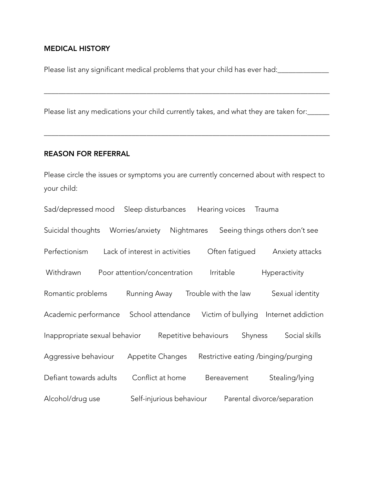## MEDICAL HISTORY

Please list any significant medical problems that your child has ever had:\_\_\_\_\_\_\_\_\_\_\_\_\_\_

\_\_\_\_\_\_\_\_\_\_\_\_\_\_\_\_\_\_\_\_\_\_\_\_\_\_\_\_\_\_\_\_\_\_\_\_\_\_\_\_\_\_\_\_\_\_\_\_\_\_\_\_\_\_\_\_\_\_\_\_\_\_\_\_\_\_\_\_\_\_\_\_\_\_\_\_\_\_

\_\_\_\_\_\_\_\_\_\_\_\_\_\_\_\_\_\_\_\_\_\_\_\_\_\_\_\_\_\_\_\_\_\_\_\_\_\_\_\_\_\_\_\_\_\_\_\_\_\_\_\_\_\_\_\_\_\_\_\_\_\_\_\_\_\_\_\_\_\_\_\_\_\_\_\_\_\_

Please list any medications your child currently takes, and what they are taken for:

#### REASON FOR REFERRAL

Please circle the issues or symptoms you are currently concerned about with respect to your child:

| Sad/depressed mood            | Sleep disturbances             |                       | Hearing voices                      |         | Trauma        |                                |
|-------------------------------|--------------------------------|-----------------------|-------------------------------------|---------|---------------|--------------------------------|
| Suicidal thoughts             | Worries/anxiety                | Nightmares            |                                     |         |               | Seeing things others don't see |
| Perfectionism                 | Lack of interest in activities |                       | Often fatigued                      |         |               | Anxiety attacks                |
| Withdrawn                     | Poor attention/concentration   |                       | Irritable                           |         | Hyperactivity |                                |
| Romantic problems             | Running Away                   |                       | Trouble with the law                |         |               | Sexual identity                |
| Academic performance          | School attendance              |                       | Victim of bullying                  |         |               | Internet addiction             |
| Inappropriate sexual behavior |                                | Repetitive behaviours |                                     | Shyness |               | Social skills                  |
| Aggressive behaviour          | <b>Appetite Changes</b>        |                       | Restrictive eating /binging/purging |         |               |                                |
| Defiant towards adults        | Conflict at home               |                       | Bereavement                         |         |               | Stealing/lying                 |
| Alcohol/drug use              | Self-injurious behaviour       |                       |                                     |         |               | Parental divorce/separation    |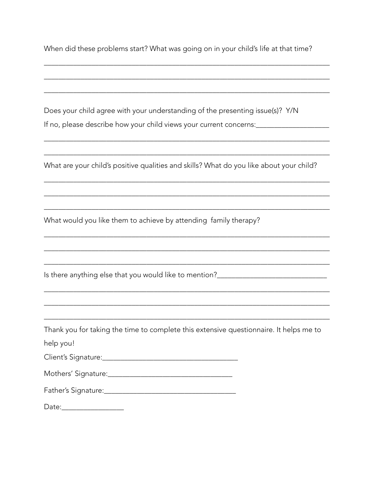When did these problems start? What was going on in your child's life at that time?

Does your child agree with your understanding of the presenting issue(s)? Y/N If no, please describe how your child views your current concerns: \_\_\_\_\_\_\_\_\_\_\_\_\_\_

What are your child's positive qualities and skills? What do you like about your child?

What would you like them to achieve by attending family therapy?

Is there anything else that you would like to mention?\_\_\_\_\_\_\_\_\_\_\_\_\_\_\_\_\_\_\_\_\_\_\_\_\_\_

Thank you for taking the time to complete this extensive questionnaire. It helps me to

help you!

| Client's Signature: |  |
|---------------------|--|
|                     |  |

| Mothers' Signature: |  |
|---------------------|--|
|---------------------|--|

| Father's Signature: |  |
|---------------------|--|
|                     |  |
|                     |  |

Date: and the state of the state of the state of the state of the state of the state of the state of the state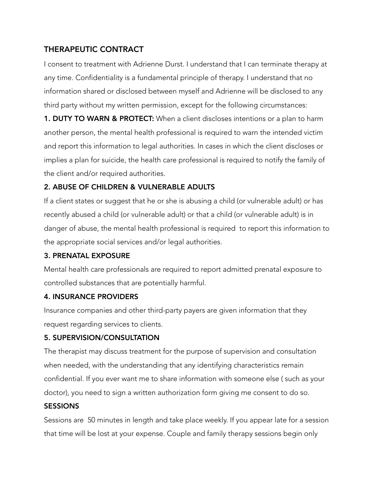# THERAPEUTIC CONTRACT

I consent to treatment with Adrienne Durst. I understand that I can terminate therapy at any time. Confidentiality is a fundamental principle of therapy. I understand that no information shared or disclosed between myself and Adrienne will be disclosed to any third party without my written permission, except for the following circumstances:

**1. DUTY TO WARN & PROTECT:** When a client discloses intentions or a plan to harm another person, the mental health professional is required to warn the intended victim and report this information to legal authorities. In cases in which the client discloses or implies a plan for suicide, the health care professional is required to notify the family of the client and/or required authorities.

# 2. ABUSE OF CHILDREN & VULNERABLE ADULTS

If a client states or suggest that he or she is abusing a child (or vulnerable adult) or has recently abused a child (or vulnerable adult) or that a child (or vulnerable adult) is in danger of abuse, the mental health professional is required to report this information to the appropriate social services and/or legal authorities.

## 3. PRENATAL EXPOSURE

Mental health care professionals are required to report admitted prenatal exposure to controlled substances that are potentially harmful.

## 4. INSURANCE PROVIDERS

Insurance companies and other third-party payers are given information that they request regarding services to clients.

## 5. SUPERVISION/CONSULTATION

The therapist may discuss treatment for the purpose of supervision and consultation when needed, with the understanding that any identifying characteristics remain confidential. If you ever want me to share information with someone else ( such as your doctor), you need to sign a written authorization form giving me consent to do so.

# **SESSIONS**

Sessions are 50 minutes in length and take place weekly. If you appear late for a session that time will be lost at your expense. Couple and family therapy sessions begin only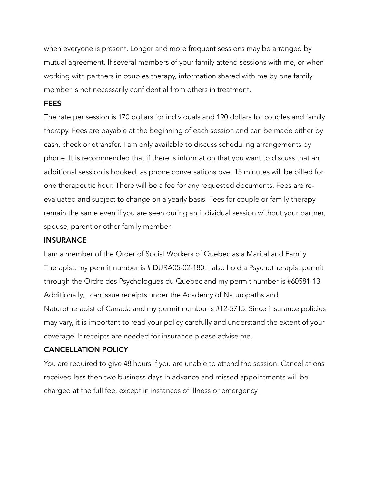when everyone is present. Longer and more frequent sessions may be arranged by mutual agreement. If several members of your family attend sessions with me, or when working with partners in couples therapy, information shared with me by one family member is not necessarily confidential from others in treatment.

#### FEES

The rate per session is 170 dollars for individuals and 190 dollars for couples and family therapy. Fees are payable at the beginning of each session and can be made either by cash, check or etransfer. I am only available to discuss scheduling arrangements by phone. It is recommended that if there is information that you want to discuss that an additional session is booked, as phone conversations over 15 minutes will be billed for one therapeutic hour. There will be a fee for any requested documents. Fees are reevaluated and subject to change on a yearly basis. Fees for couple or family therapy remain the same even if you are seen during an individual session without your partner, spouse, parent or other family member.

#### **INSURANCE**

I am a member of the Order of Social Workers of Quebec as a Marital and Family Therapist, my permit number is # DURA05-02-180. I also hold a Psychotherapist permit through the Ordre des Psychologues du Quebec and my permit number is #60581-13. Additionally, I can issue receipts under the Academy of Naturopaths and Naturotherapist of Canada and my permit number is #12-5715. Since insurance policies may vary, it is important to read your policy carefully and understand the extent of your coverage. If receipts are needed for insurance please advise me.

#### CANCELLATION POLICY

You are required to give 48 hours if you are unable to attend the session. Cancellations received less then two business days in advance and missed appointments will be charged at the full fee, except in instances of illness or emergency.